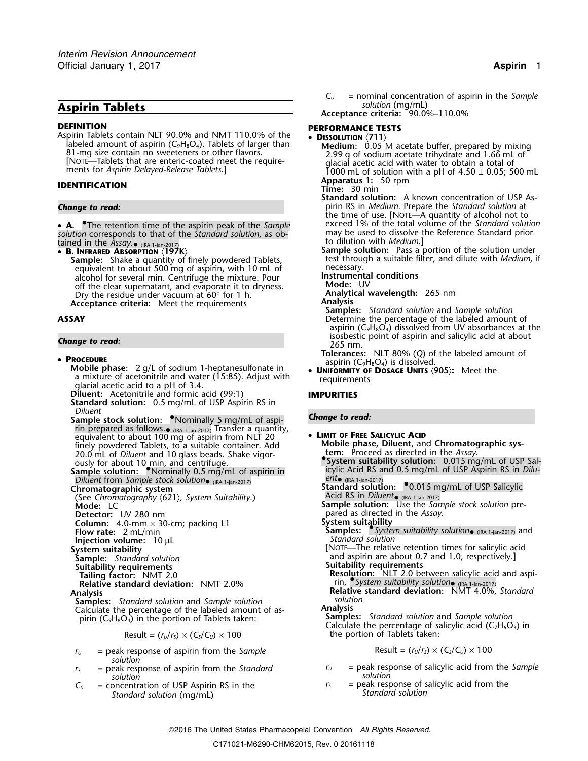# **Aspirin Tablets** *solution* (mg/mL)

**DEFINITION PERFORMANCE TESTS**<br>Aspirin Tablets contain NLT 90.0% and NMT 110.0% of the **PISSOLUTION** (711) prin Tablets contain NLI 90.0% and NMT 110.0% of the **Dissolution**  $\langle 711 \rangle$ <br>
labeled amount of aspirin (C<sub>9</sub>H<sub>8</sub>O<sub>4</sub>). Tablets of larger than 81-mg size contain no sweeteners or other flavors.<br>
[NOTE—Tablets that are en

• **A.** •The retention time of the aspirin peak of the *Sample* exceed 1% of the total volume of the *Standard solution* may be used to dissolve the Reference Standard prior *solution* corresponds to that of the *Standard solution*, as ob- to dilution with *Medium*.] tained in the *Assay*.

LAILIEU III LITE ASSUY. (IRA 1-Jan-2017)<br>• R INFRARED ARSORPTION (197

**Sample:** Shake a quantity of finely powdered Tablets, the dist through test through a suitable finely powdered Tablets, the medessary. equivalent to about 500 mg of aspirin, with 10 mL of necessary.<br>alcohol for several min. Centrifuge the mixture. Pour **nightlangle instrumental conditions** alcohol for several min. Centrifuge the mixture. Pour **Instrumenta**<br>off the clear supernatant, and evaporate it to dryness. **Instrumental Algerian** off the clear supernatant, and evaporate it to dryness. **Mode:** UV Dry the residue under vacuum at 60° for 1 h.<br>**Acceptance criteria:** Meet the requirements **Analysis** 

**Probile phase:** 2 g/L of sodium 1-heptanesulfonate in • **UNIFORMITY OF DOSAGE UNITS (905):** Meet the **<sup>U</sup>NIFORMITY OF DOSAGE UNITS** 〈**905**〉**:** Meet the a mixture of acetonitrile and water (15:85). Adjust with requirements <sup>g</sup>lacial acetic acid to a pH of 3.4.

**Diluent:** Acetonitrile and formic acid (99:1) **IMPURITIES**

**Standard solution:** 0.5 mg/mL of USP Aspirin RS in *Diluent*<br>Sample stock solution: <sup>•</sup>Nominally 5 mg/mL of aspi- **Change to read:** 

rin prepared as follows.• (IRA 1-Jan-2017) Transfer a quantity, equivalent to about 100 mg of aspirin from NLT 20 • **<sup>L</sup>IMIT OF FREE SALICYLIC ACID Mobile phase, Diluent,** and **Chromatographic sys-** finely powdered Tablets, to a suitable container. Add 20.0 mL of *Diluent* and 10 glass beads. Shake vigor-<br>**All of the** *Assay***.** And the *Assay*.

**System suitably** ously for about 10 min, and centrifuge.<br> **Sample solution:** • Nominally 0.5 mg/mL of aspirin in **Sample Acid RS and Diluent from Sample stock solution. Diluent** from *Sample stock solution ent ent ent ent ent ent ent ent ent ent ent ent ent ent ent ent ent ent ent ent ent ent ent ent ent ent ent ent ent ent en* 

(See Chromatography  $\langle 621 \rangle$ , System Suitability.)<br>**Mode:** LC

- 
- **Column:** 4.0-mm × 30-cm; packing L1 **Flow rate:** 2 mL/min

**Injection volume:** 10 µL **System suitability** 

- 
- **Sample:** Standard solution<br>**Suitability requirements**<br>**Tailing factor:** NMT 2.0
- 

**Samples:** *Standard solution* and *Sample solution solution* Calculate the percentage of the labeled amount of as-<br>
pirin (C<sub>9</sub>H<sub>8</sub>O<sub>4</sub>) in the portion of Tablets taken:<br> **Samples:** Standard solution and Sample solution

## $Result = (r<sub>U</sub>/r<sub>S</sub>) \times (C<sub>S</sub>/C<sub>U</sub>) \times 100$

- $r_U$  = peak response of aspirin from the *Sample* Result =  $(r_U/r_S) \times (C_S/C_U) \times 100$ *solution*
- *solution solution*
- *Standard solution* (mg/mL) *Standard solution*

**Acceptance criteria:** 90.0%–110.0%

**Apparatus 1:** 50 rpm **IDENTIFICATION Time:** 30 min

**Standard solution:** A known concentration of USP As-*Change to read:* pirin RS in *Medium*. Prepare the *Standard solution* at the time of use. [NOTE—A quantity of alcohol not to exceed 1% of the total volume of the Standard solution

**Sample solution:** Pass a portion of the solution under test through a suitable filter, and dilute with *Medium*, if

**ACCEPTING CRITERIA: And** *ACCEPTING CRITERIAL CRITERIAL Samples:**Standard solution* **and** *Sample solution***<br>Determine the percentage of the labeled amoun** Determine the percentage of the labeled amount of aspirin ( $C_9H_8O_4$ ) dissolved from UV absorbances at the isosbestic point of aspirin and salicylic acid at about *Change to read:* 265 nm.

**PROCEDURE**<br>**PROCEDURE**<br>**ALC** 2 **D C C C C C C C C**<sub>**CH<sub>B</sub>O<sub>4</sub>) is dissolved.</sub>** 

tem: Proceed as directed in the Assay.<br>• System suitability solution: 0.015 mg/mL of USP Sal-<br>icylic Acid RS and 0.5 mg/mL of USP Aspirin RS in *Dilu-***Chromatographic system Standard solution:** •0.015 mg/mL of USP Salicylic **Chromatographic system** Acid RS in *Diluent* (IRA 1-Jan-2017)<br>**Sample solution:** Use the *Sample stock solution* pre-**Detector:** UV 280 nm **System suitability**<br>**Samples:** • *System suitability solution*• (IRA 1-Jan-2017) and<br>*Standard solution* [NOTE—The relative retention times for salicylic acid and aspirin are about 0.7 and 1.0, respectively.]<br>Suitability requirements **Tailing factor:** NMT 2.0<br>Relative standard deviation: NMT 2.0% **Resolution: NLT 2.0** between salicylic acid and aspi-<br>Relative standard deviation: NMT 4.0%, Standard deviation: NMT 4.0%, Standard Calculate the percentage of salicylic acid (C<sub>7</sub>H<sub>6</sub>O<sub>3</sub>) in the portion of Tablets taken:

- $r_S$  = peak response of aspirin from the *Standard*  $r_U$  = peak response of salicylic acid from the *Sample*<br> *Solution*
- $C_s$  = concentration of USP Aspirin RS in the  $C_s$  = peak response of salicylic acid from the *Standard solution (ma/ml)*